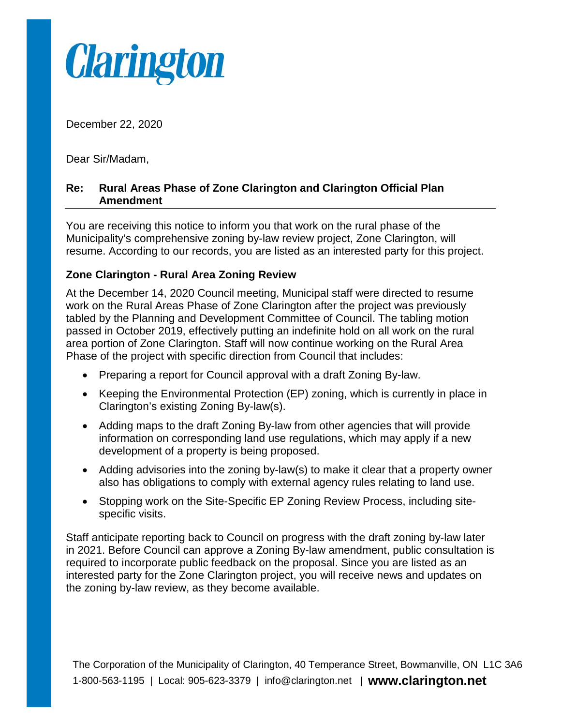

December 22, 2020

Dear Sir/Madam,

## **Re: Rural Areas Phase of Zone Clarington and Clarington Official Plan Amendment**

You are receiving this notice to inform you that work on the rural phase of the Municipality's comprehensive zoning by-law review project, Zone Clarington, will resume. According to our records, you are listed as an interested party for this project.

## **Zone Clarington - Rural Area Zoning Review**

At the December 14, 2020 Council meeting, Municipal staff were directed to resume work on the Rural Areas Phase of Zone Clarington after the project was previously tabled by the Planning and Development Committee of Council. The tabling motion passed in October 2019, effectively putting an indefinite hold on all work on the rural area portion of Zone Clarington. Staff will now continue working on the Rural Area Phase of the project with specific direction from Council that includes:

- Preparing a report for Council approval with a draft Zoning By-law.
- Keeping the Environmental Protection (EP) zoning, which is currently in place in Clarington's existing Zoning By-law(s).
- Adding maps to the draft Zoning By-law from other agencies that will provide information on corresponding land use regulations, which may apply if a new development of a property is being proposed.
- Adding advisories into the zoning by-law(s) to make it clear that a property owner also has obligations to comply with external agency rules relating to land use.
- Stopping work on the Site-Specific EP Zoning Review Process, including sitespecific visits.

Staff anticipate reporting back to Council on progress with the draft zoning by-law later in 2021. Before Council can approve a Zoning By-law amendment, public consultation is required to incorporate public feedback on the proposal. Since you are listed as an interested party for the Zone Clarington project, you will receive news and updates on the zoning by-law review, as they become available.

The Corporation of the Municipality of Clarington, 40 Temperance Street, Bowmanville, ON L1C 3A6 1-800-563-1195 | Local: 905-623-3379 | info@clarington.net | **www.clarington.net**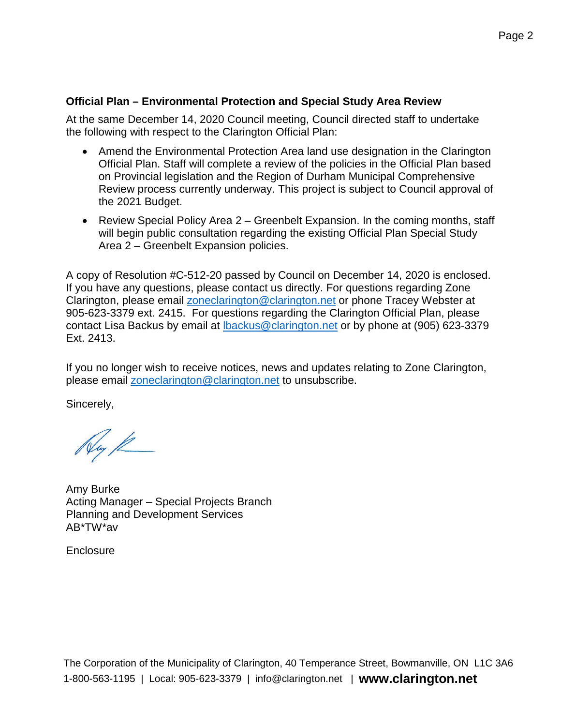## **Official Plan – Environmental Protection and Special Study Area Review**

At the same December 14, 2020 Council meeting, Council directed staff to undertake the following with respect to the Clarington Official Plan:

- Amend the Environmental Protection Area land use designation in the Clarington Official Plan. Staff will complete a review of the policies in the Official Plan based on Provincial legislation and the Region of Durham Municipal Comprehensive Review process currently underway. This project is subject to Council approval of the 2021 Budget.
- Review Special Policy Area 2 Greenbelt Expansion. In the coming months, staff will begin public consultation regarding the existing Official Plan Special Study Area 2 – Greenbelt Expansion policies.

A copy of Resolution #C-512-20 passed by Council on December 14, 2020 is enclosed. If you have any questions, please contact us directly. For questions regarding Zone Clarington, please email [zoneclarington@clarington.net](mailto:zoneclarington@clarington.net) or phone Tracey Webster at 905-623-3379 ext. 2415. For questions regarding the Clarington Official Plan, please contact Lisa Backus by email at [lbackus@clarington.net](mailto:lbackus@clarington.net) or by phone at (905) 623-3379 Ext. 2413.

If you no longer wish to receive notices, news and updates relating to Zone Clarington, please email [zoneclarington@clarington.net](mailto:zoneclarington@clarington.net) to unsubscribe.

Sincerely,

Ny K

Amy Burke Acting Manager – Special Projects Branch Planning and Development Services AB\*TW\*av

**Enclosure**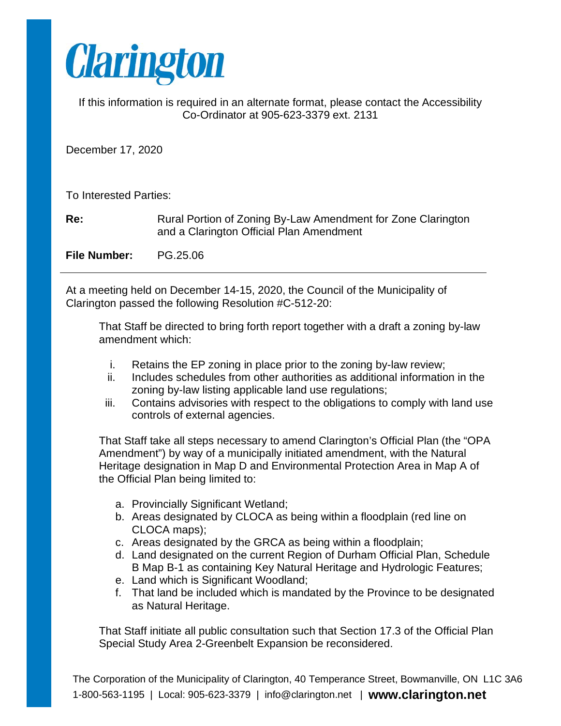

If this information is required in an alternate format, please contact the Accessibility Co-Ordinator at 905-623-3379 ext. 2131

December 17, 2020

To Interested Parties:

**Re:** Rural Portion of Zoning By-Law Amendment for Zone Clarington and a Clarington Official Plan Amendment

**File Number:** PG.25.06

At a meeting held on December 14-15, 2020, the Council of the Municipality of Clarington passed the following Resolution #C-512-20:

That Staff be directed to bring forth report together with a draft a zoning by-law amendment which:

- i. Retains the EP zoning in place prior to the zoning by-law review;
- ii. Includes schedules from other authorities as additional information in the zoning by-law listing applicable land use regulations;
- iii. Contains advisories with respect to the obligations to comply with land use controls of external agencies.

That Staff take all steps necessary to amend Clarington's Official Plan (the "OPA Amendment") by way of a municipally initiated amendment, with the Natural Heritage designation in Map D and Environmental Protection Area in Map A of the Official Plan being limited to:

- a. Provincially Significant Wetland;
- b. Areas designated by CLOCA as being within a floodplain (red line on CLOCA maps);
- c. Areas designated by the GRCA as being within a floodplain;
- d. Land designated on the current Region of Durham Official Plan, Schedule B Map B-1 as containing Key Natural Heritage and Hydrologic Features;
- e. Land which is Significant Woodland;
- f. That land be included which is mandated by the Province to be designated as Natural Heritage.

That Staff initiate all public consultation such that Section 17.3 of the Official Plan Special Study Area 2-Greenbelt Expansion be reconsidered.

The Corporation of the Municipality of Clarington, 40 Temperance Street, Bowmanville, ON L1C 3A6 1-800-563-1195 | Local: 905-623-3379 | info@clarington.net | **www.clarington.net**